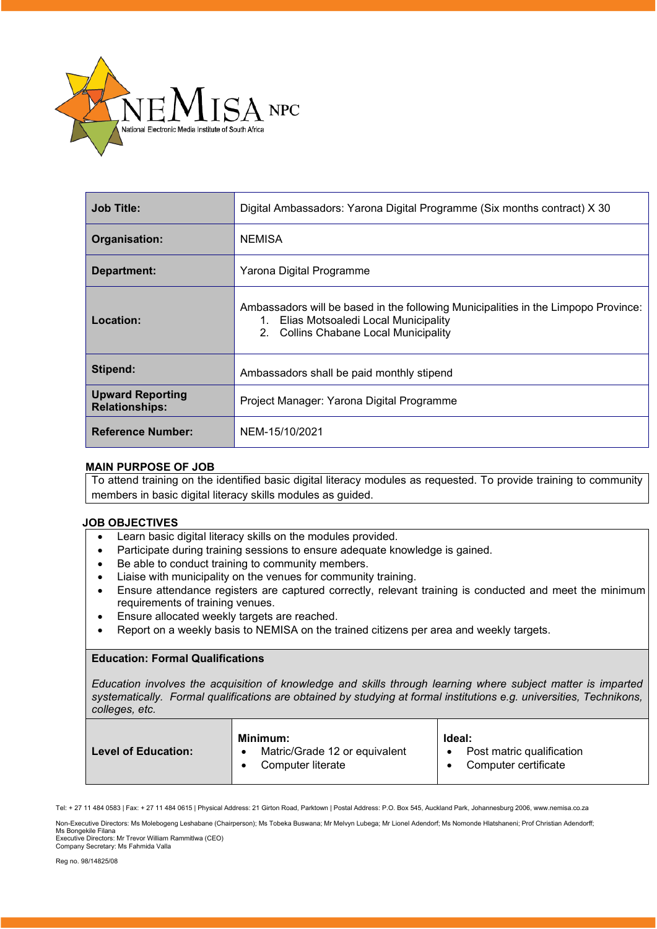

| <b>Job Title:</b>                                | Digital Ambassadors: Yarona Digital Programme (Six months contract) X 30                                                                                                 |  |
|--------------------------------------------------|--------------------------------------------------------------------------------------------------------------------------------------------------------------------------|--|
| Organisation:                                    | <b>NEMISA</b>                                                                                                                                                            |  |
| Department:                                      | Yarona Digital Programme                                                                                                                                                 |  |
| Location:                                        | Ambassadors will be based in the following Municipalities in the Limpopo Province:<br>Elias Motsoaledi Local Municipality<br>1.<br>2. Collins Chabane Local Municipality |  |
| Stipend:                                         | Ambassadors shall be paid monthly stipend                                                                                                                                |  |
| <b>Upward Reporting</b><br><b>Relationships:</b> | Project Manager: Yarona Digital Programme                                                                                                                                |  |
| <b>Reference Number:</b>                         | NEM-15/10/2021                                                                                                                                                           |  |

### **MAIN PURPOSE OF JOB**

To attend training on the identified basic digital literacy modules as requested. To provide training to community members in basic digital literacy skills modules as guided.

# **JOB OBJECTIVES**

- $\overline{a}$ • Learn basic digital literacy skills on the modules provided.
- Participate during training sessions to ensure adequate knowledge is gained.
- Be able to conduct training to community members.
- Liaise with municipality on the venues for community training.
- Ensure attendance registers are captured correctly, relevant training is conducted and meet the minimum requirements of training venues.
- Ensure allocated weekly targets are reached.
- Report on a weekly basis to NEMISA on the trained citizens per area and weekly targets.

# **Education: Formal Qualifications**

*Education involves the acquisition of knowledge and skills through learning where subject matter is imparted systematically. Formal qualifications are obtained by studying at formal institutions e.g. universities, Technikons, colleges, etc.*

|                            | Minimum:                                           | Ideal:                                            |
|----------------------------|----------------------------------------------------|---------------------------------------------------|
| <b>Level of Education:</b> | Matric/Grade 12 or equivalent<br>Computer literate | Post matric qualification<br>Computer certificate |

Tel: + 27 11 484 0583 | Fax: + 27 11 484 0615 | Physical Address: 21 Girton Road, Parktown | Postal Address: P.O. Box 545, Auckland Park, Johannesburg 2006, www.nemisa.co.za

Non-Executive Directors: Ms Molebogeng Leshabane (Chairperson); Ms Tobeka Buswana; Mr Melvyn Lubega; Mr Lionel Adendorf; Ms Nomonde Hlatshaneni; Prof Christian Adendorff; Ms Bongekile Filana

Executive Directors: Mr Trevor William Rammitlwa (CEO) Company Secretary: Ms Fahmida Valla

Reg no. 98/14825/08